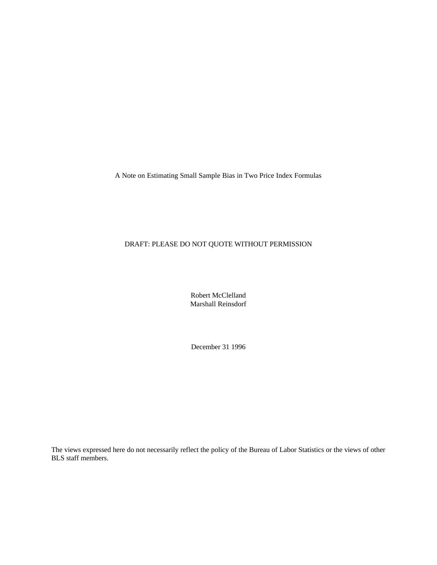A Note on Estimating Small Sample Bias in Two Price Index Formulas

## DRAFT: PLEASE DO NOT QUOTE WITHOUT PERMISSION

Robert McClelland Marshall Reinsdorf

December 31 1996

The views expressed here do not necessarily reflect the policy of the Bureau of Labor Statistics or the views of other BLS staff members.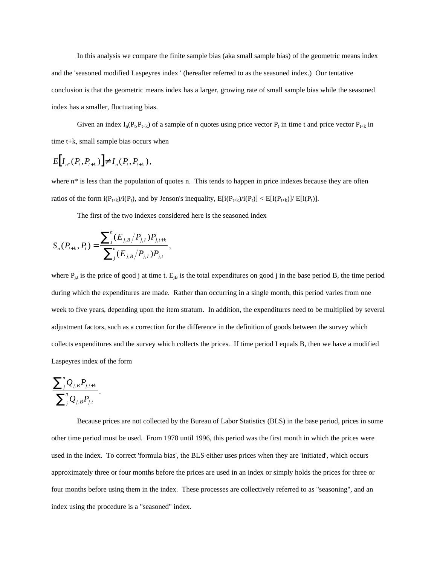In this analysis we compare the finite sample bias (aka small sample bias) of the geometric means index and the 'seasoned modified Laspeyres index ' (hereafter referred to as the seasoned index.) Our tentative conclusion is that the geometric means index has a larger, growing rate of small sample bias while the seasoned index has a smaller, fluctuating bias.

Given an index  $I_n(P_t, P_{t+k})$  of a sample of n quotes using price vector  $P_t$  in time t and price vector  $P_{t+k}$  in time t+k, small sample bias occurs when

$$
E[I_{n^*}(P_t, P_{t+k})] \neq I_n(P_t, P_{t+k}),
$$

where n<sup>\*</sup> is less than the population of quotes n. This tends to happen in price indexes because they are often ratios of the form  $i(P_{t+k})/i(P_t)$ , and by Jenson's inequality,  $E[i(P_{t+k})/i(P_t)] < E[i(P_{t+k})]/E[i(P_t)]$ .

The first of the two indexes considered here is the seasoned index

$$
S_n(P_{t+k}, P_t) = \frac{\sum_{j}^{n} (E_{j,B}/P_{j,I}) P_{j,t+k}}{\sum_{j}^{n} (E_{j,B}/P_{j,I}) P_{j,t}},
$$

where  $P_{j,t}$  is the price of good j at time t.  $E_{jB}$  is the total expenditures on good j in the base period B, the time period during which the expenditures are made. Rather than occurring in a single month, this period varies from one week to five years, depending upon the item stratum. In addition, the expenditures need to be multiplied by several adjustment factors, such as a correction for the difference in the definition of goods between the survey which collects expenditures and the survey which collects the prices. If time period I equals B, then we have a modified Laspeyres index of the form

$$
\frac{\sum_{j}^{n}Q_{j,B}P_{j,t+k}}{\sum_{j}^{n}Q_{j,B}P_{j,t}}.
$$

Because prices are not collected by the Bureau of Labor Statistics (BLS) in the base period, prices in some other time period must be used. From 1978 until 1996, this period was the first month in which the prices were used in the index. To correct 'formula bias', the BLS either uses prices when they are 'initiated', which occurs approximately three or four months before the prices are used in an index or simply holds the prices for three or four months before using them in the index. These processes are collectively referred to as "seasoning", and an index using the procedure is a "seasoned" index.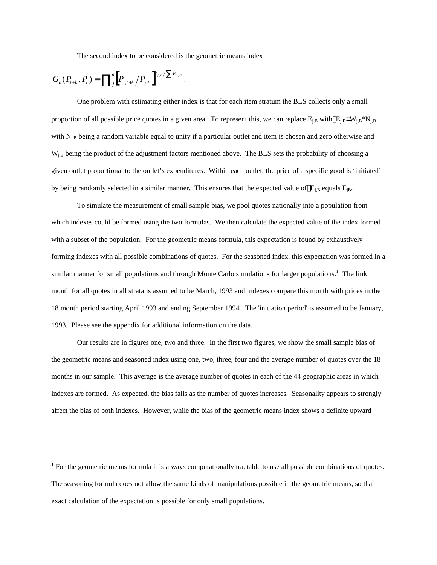The second index to be considered is the geometric means index

$$
G_n(P_{t+k}, P_t) = \prod_{j}^{n} \left[ P_{j,t+k} / P_{j,t} \right]^{E_{j,B}/\sum E_{j,B}}.
$$

-

One problem with estimating either index is that for each item stratum the BLS collects only a small proportion of all possible price quotes in a given area. To represent this, we can replace E<sub>j,B</sub> with  $\overline{E}_{i,B} = W_{i,B} * N_{i,B}$ , with  $N_{i,B}$  being a random variable equal to unity if a particular outlet and item is chosen and zero otherwise and W<sub>i,B</sub> being the product of the adjustment factors mentioned above. The BLS sets the probability of choosing a given outlet proportional to the outlet's expenditures. Within each outlet, the price of a specific good is 'initiated' by being randomly selected in a similar manner. This ensures that the expected value of  $\overline{E}_{i,B}$  equals  $E_{i,B}$ .

To simulate the measurement of small sample bias, we pool quotes nationally into a population from which indexes could be formed using the two formulas. We then calculate the expected value of the index formed with a subset of the population. For the geometric means formula, this expectation is found by exhaustively forming indexes with all possible combinations of quotes. For the seasoned index, this expectation was formed in a similar manner for small populations and through Monte Carlo simulations for larger populations.<sup>1</sup> The link month for all quotes in all strata is assumed to be March, 1993 and indexes compare this month with prices in the 18 month period starting April 1993 and ending September 1994. The 'initiation period' is assumed to be January, 1993. Please see the appendix for additional information on the data.

Our results are in figures one, two and three. In the first two figures, we show the small sample bias of the geometric means and seasoned index using one, two, three, four and the average number of quotes over the 18 months in our sample. This average is the average number of quotes in each of the 44 geographic areas in which indexes are formed. As expected, the bias falls as the number of quotes increases. Seasonality appears to strongly affect the bias of both indexes. However, while the bias of the geometric means index shows a definite upward

 $1$  For the geometric means formula it is always computationally tractable to use all possible combinations of quotes. The seasoning formula does not allow the same kinds of manipulations possible in the geometric means, so that exact calculation of the expectation is possible for only small populations.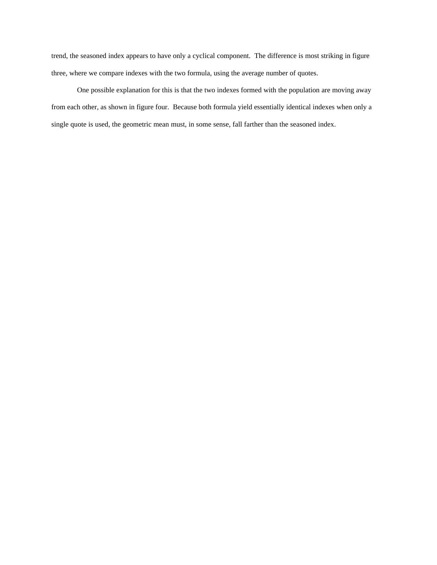trend, the seasoned index appears to have only a cyclical component. The difference is most striking in figure three, where we compare indexes with the two formula, using the average number of quotes.

One possible explanation for this is that the two indexes formed with the population are moving away from each other, as shown in figure four. Because both formula yield essentially identical indexes when only a single quote is used, the geometric mean must, in some sense, fall farther than the seasoned index.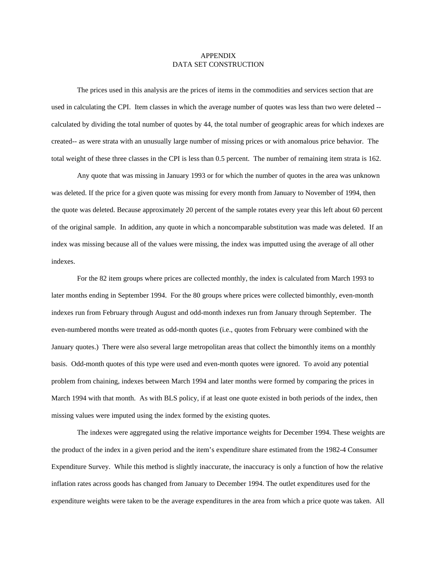## APPENDIX DATA SET CONSTRUCTION

The prices used in this analysis are the prices of items in the commodities and services section that are used in calculating the CPI. Item classes in which the average number of quotes was less than two were deleted - calculated by dividing the total number of quotes by 44, the total number of geographic areas for which indexes are created-- as were strata with an unusually large number of missing prices or with anomalous price behavior. The total weight of these three classes in the CPI is less than 0.5 percent. The number of remaining item strata is 162.

Any quote that was missing in January 1993 or for which the number of quotes in the area was unknown was deleted. If the price for a given quote was missing for every month from January to November of 1994, then the quote was deleted. Because approximately 20 percent of the sample rotates every year this left about 60 percent of the original sample. In addition, any quote in which a noncomparable substitution was made was deleted. If an index was missing because all of the values were missing, the index was imputted using the average of all other indexes.

For the 82 item groups where prices are collected monthly, the index is calculated from March 1993 to later months ending in September 1994. For the 80 groups where prices were collected bimonthly, even-month indexes run from February through August and odd-month indexes run from January through September. The even-numbered months were treated as odd-month quotes (i.e., quotes from February were combined with the January quotes.) There were also several large metropolitan areas that collect the bimonthly items on a monthly basis. Odd-month quotes of this type were used and even-month quotes were ignored. To avoid any potential problem from chaining, indexes between March 1994 and later months were formed by comparing the prices in March 1994 with that month. As with BLS policy, if at least one quote existed in both periods of the index, then missing values were imputed using the index formed by the existing quotes.

The indexes were aggregated using the relative importance weights for December 1994. These weights are the product of the index in a given period and the item's expenditure share estimated from the 1982-4 Consumer Expenditure Survey. While this method is slightly inaccurate, the inaccuracy is only a function of how the relative inflation rates across goods has changed from January to December 1994. The outlet expenditures used for the expenditure weights were taken to be the average expenditures in the area from which a price quote was taken. All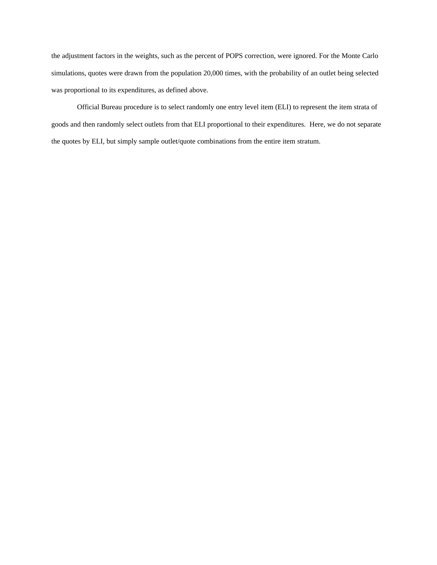the adjustment factors in the weights, such as the percent of POPS correction, were ignored. For the Monte Carlo simulations, quotes were drawn from the population 20,000 times, with the probability of an outlet being selected was proportional to its expenditures, as defined above.

Official Bureau procedure is to select randomly one entry level item (ELI) to represent the item strata of goods and then randomly select outlets from that ELI proportional to their expenditures. Here, we do not separate the quotes by ELI, but simply sample outlet/quote combinations from the entire item stratum.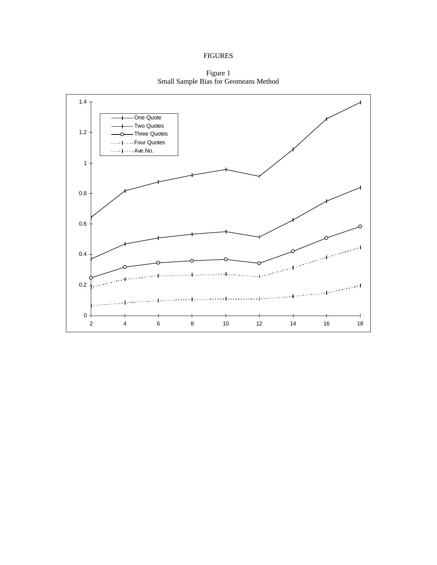## FIGURES

Figure 1 Small Sample Bias for Geomeans Method

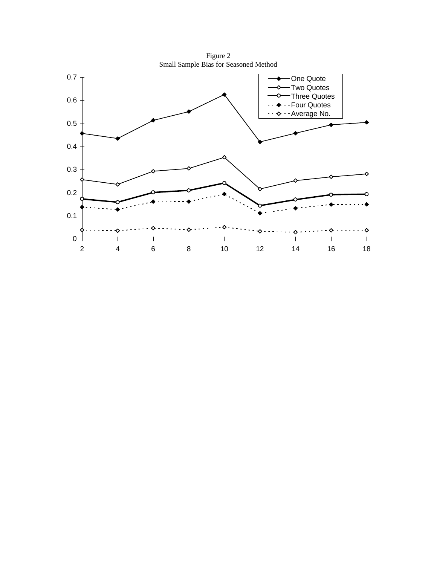Figure 2 Small Sample Bias for Seasoned Method